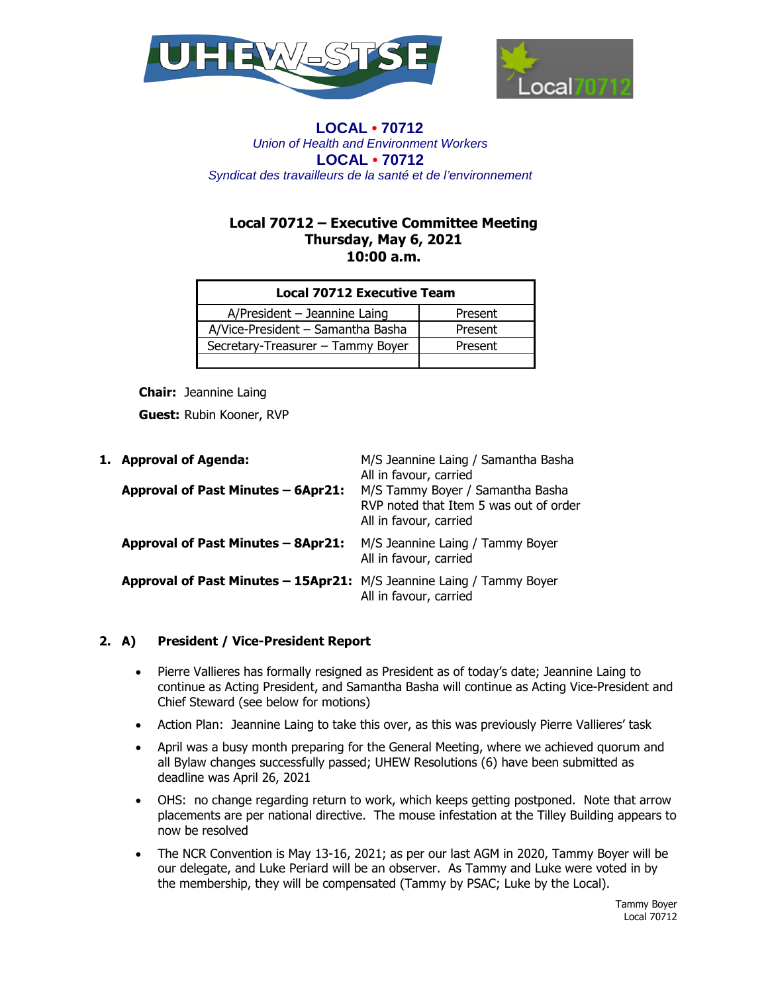



# **Local 70712 – Executive Committee Meeting Thursday, May 6, 2021 10:00 a.m.**

| <b>Local 70712 Executive Team</b> |         |  |
|-----------------------------------|---------|--|
| $A/P$ resident – Jeannine Laing   | Present |  |
| A/Vice-President - Samantha Basha | Present |  |
| Secretary-Treasurer - Tammy Boyer | Present |  |
|                                   |         |  |

**Chair:** Jeannine Laing

**Guest:** Rubin Kooner, RVP

| 1. Approval of Agenda:                                               | M/S Jeannine Laing / Samantha Basha<br>All in favour, carried                                        |
|----------------------------------------------------------------------|------------------------------------------------------------------------------------------------------|
| Approval of Past Minutes - 6Apr21:                                   | M/S Tammy Boyer / Samantha Basha<br>RVP noted that Item 5 was out of order<br>All in favour, carried |
| <b>Approval of Past Minutes - 8Apr21:</b>                            | M/S Jeannine Laing / Tammy Boyer<br>All in favour, carried                                           |
| Approval of Past Minutes - 15Apr21: M/S Jeannine Laing / Tammy Boyer | All in favour, carried                                                                               |

# **2. A) President / Vice-President Report**

- Pierre Vallieres has formally resigned as President as of today's date; Jeannine Laing to continue as Acting President, and Samantha Basha will continue as Acting Vice-President and Chief Steward (see below for motions)
- Action Plan: Jeannine Laing to take this over, as this was previously Pierre Vallieres' task
- April was a busy month preparing for the General Meeting, where we achieved quorum and all Bylaw changes successfully passed; UHEW Resolutions (6) have been submitted as deadline was April 26, 2021
- OHS: no change regarding return to work, which keeps getting postponed. Note that arrow placements are per national directive. The mouse infestation at the Tilley Building appears to now be resolved
- The NCR Convention is May 13-16, 2021; as per our last AGM in 2020, Tammy Boyer will be our delegate, and Luke Periard will be an observer. As Tammy and Luke were voted in by the membership, they will be compensated (Tammy by PSAC; Luke by the Local).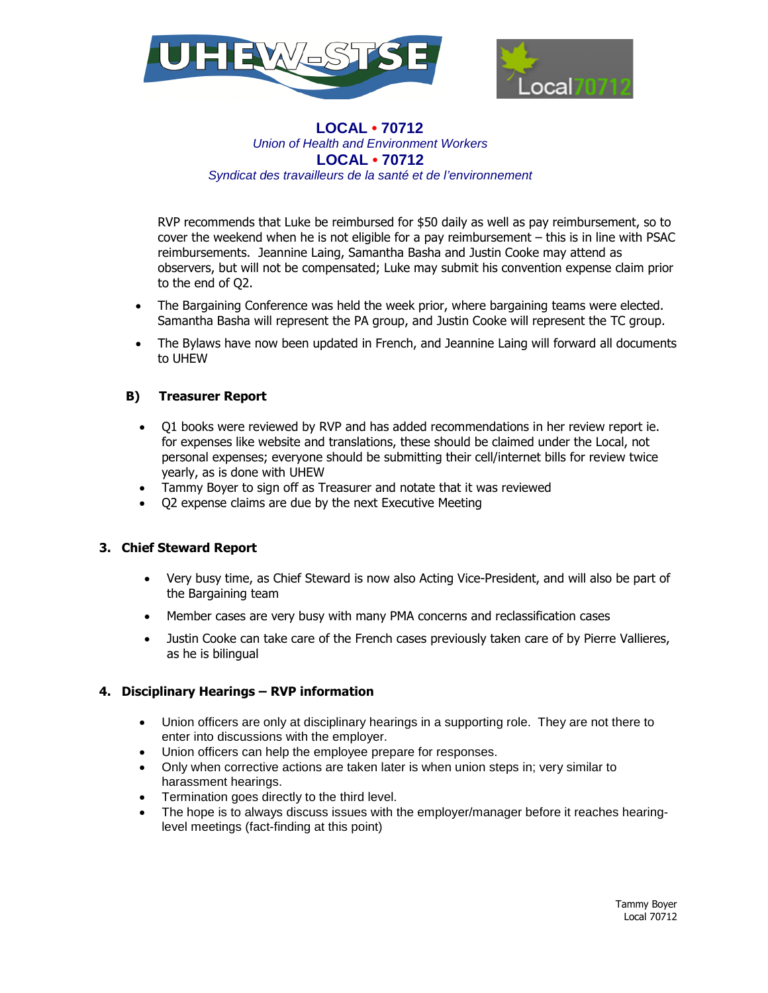



RVP recommends that Luke be reimbursed for \$50 daily as well as pay reimbursement, so to cover the weekend when he is not eligible for a pay reimbursement – this is in line with PSAC reimbursements. Jeannine Laing, Samantha Basha and Justin Cooke may attend as observers, but will not be compensated; Luke may submit his convention expense claim prior to the end of Q2.

- The Bargaining Conference was held the week prior, where bargaining teams were elected. Samantha Basha will represent the PA group, and Justin Cooke will represent the TC group.
- The Bylaws have now been updated in French, and Jeannine Laing will forward all documents to UHEW

## **B) Treasurer Report**

- Q1 books were reviewed by RVP and has added recommendations in her review report ie. for expenses like website and translations, these should be claimed under the Local, not personal expenses; everyone should be submitting their cell/internet bills for review twice yearly, as is done with UHEW
- Tammy Boyer to sign off as Treasurer and notate that it was reviewed
- Q2 expense claims are due by the next Executive Meeting

### **3. Chief Steward Report**

- Very busy time, as Chief Steward is now also Acting Vice-President, and will also be part of the Bargaining team
- Member cases are very busy with many PMA concerns and reclassification cases
- Justin Cooke can take care of the French cases previously taken care of by Pierre Vallieres, as he is bilingual

### **4. Disciplinary Hearings – RVP information**

- Union officers are only at disciplinary hearings in a supporting role. They are not there to enter into discussions with the employer.
- Union officers can help the employee prepare for responses.
- Only when corrective actions are taken later is when union steps in; very similar to harassment hearings.
- Termination goes directly to the third level.
- The hope is to always discuss issues with the employer/manager before it reaches hearinglevel meetings (fact-finding at this point)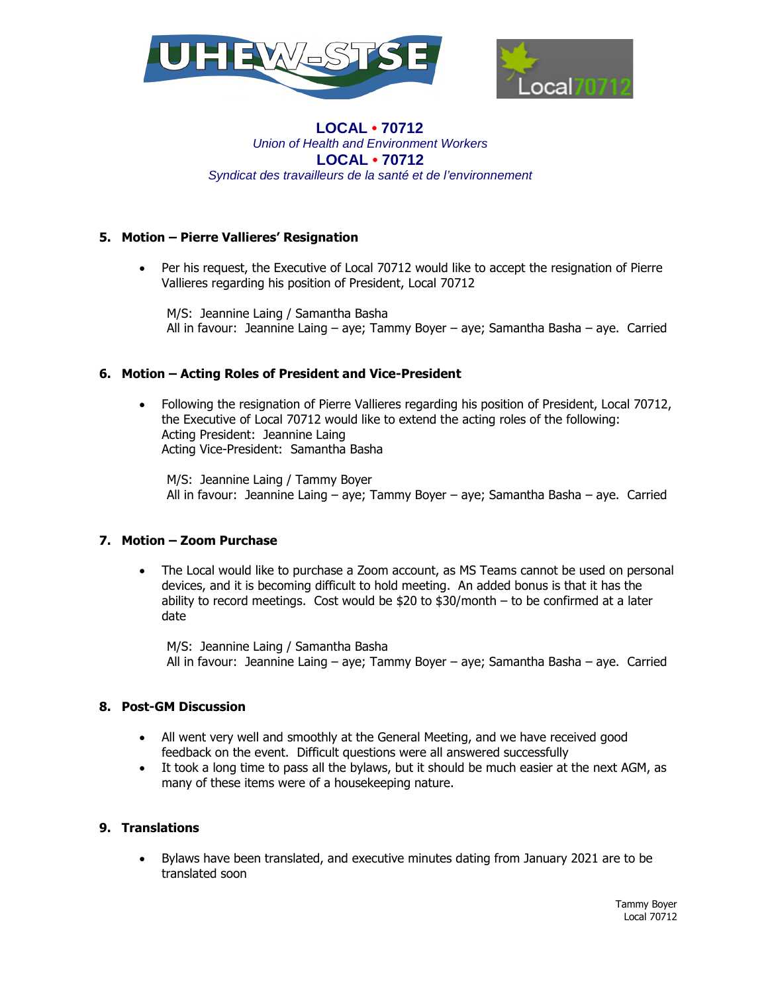



# **5. Motion – Pierre Vallieres' Resignation**

 Per his request, the Executive of Local 70712 would like to accept the resignation of Pierre Vallieres regarding his position of President, Local 70712

M/S: Jeannine Laing / Samantha Basha All in favour: Jeannine Laing – aye; Tammy Boyer – aye; Samantha Basha – aye. Carried

## **6. Motion – Acting Roles of President and Vice-President**

 Following the resignation of Pierre Vallieres regarding his position of President, Local 70712, the Executive of Local 70712 would like to extend the acting roles of the following: Acting President: Jeannine Laing Acting Vice-President: Samantha Basha

M/S: Jeannine Laing / Tammy Boyer All in favour: Jeannine Laing – aye; Tammy Boyer – aye; Samantha Basha – aye. Carried

### **7. Motion – Zoom Purchase**

 The Local would like to purchase a Zoom account, as MS Teams cannot be used on personal devices, and it is becoming difficult to hold meeting. An added bonus is that it has the ability to record meetings. Cost would be  $$20$  to  $$30/m$ onth – to be confirmed at a later date

M/S: Jeannine Laing / Samantha Basha All in favour: Jeannine Laing – aye; Tammy Boyer – aye; Samantha Basha – aye. Carried

### **8. Post-GM Discussion**

- All went very well and smoothly at the General Meeting, and we have received good feedback on the event. Difficult questions were all answered successfully
- It took a long time to pass all the bylaws, but it should be much easier at the next AGM, as many of these items were of a housekeeping nature.

## **9. Translations**

 Bylaws have been translated, and executive minutes dating from January 2021 are to be translated soon